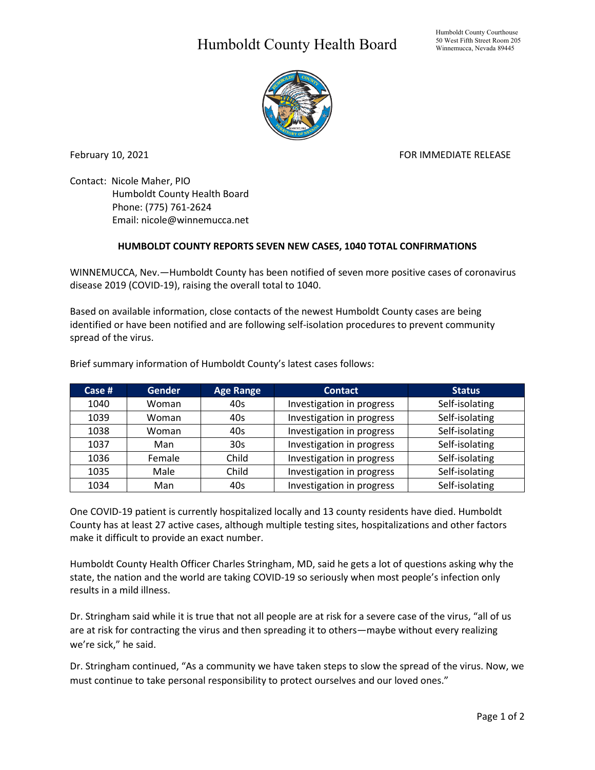## Humboldt County Health Board



February 10, 2021 **FOR IMMEDIATE RELEASE** 

Contact: Nicole Maher, PIO Humboldt County Health Board Phone: (775) 761-2624 Email: nicole@winnemucca.net

## **HUMBOLDT COUNTY REPORTS SEVEN NEW CASES, 1040 TOTAL CONFIRMATIONS**

WINNEMUCCA, Nev.—Humboldt County has been notified of seven more positive cases of coronavirus disease 2019 (COVID-19), raising the overall total to 1040.

Based on available information, close contacts of the newest Humboldt County cases are being identified or have been notified and are following self-isolation procedures to prevent community spread of the virus.

| Case $#$ | <b>Gender</b> | <b>Age Range</b> | <b>Contact</b>            | <b>Status</b>  |
|----------|---------------|------------------|---------------------------|----------------|
| 1040     | Woman         | 40s              | Investigation in progress | Self-isolating |
| 1039     | Woman         | 40s              | Investigation in progress | Self-isolating |
| 1038     | Woman         | 40s              | Investigation in progress | Self-isolating |
| 1037     | Man           | 30 <sub>s</sub>  | Investigation in progress | Self-isolating |
| 1036     | Female        | Child            | Investigation in progress | Self-isolating |
| 1035     | Male          | Child            | Investigation in progress | Self-isolating |
| 1034     | Man           | 40s              | Investigation in progress | Self-isolating |

Brief summary information of Humboldt County's latest cases follows:

One COVID-19 patient is currently hospitalized locally and 13 county residents have died. Humboldt County has at least 27 active cases, although multiple testing sites, hospitalizations and other factors make it difficult to provide an exact number.

Humboldt County Health Officer Charles Stringham, MD, said he gets a lot of questions asking why the state, the nation and the world are taking COVID-19 so seriously when most people's infection only results in a mild illness.

Dr. Stringham said while it is true that not all people are at risk for a severe case of the virus, "all of us are at risk for contracting the virus and then spreading it to others—maybe without every realizing we're sick," he said.

Dr. Stringham continued, "As a community we have taken steps to slow the spread of the virus. Now, we must continue to take personal responsibility to protect ourselves and our loved ones."